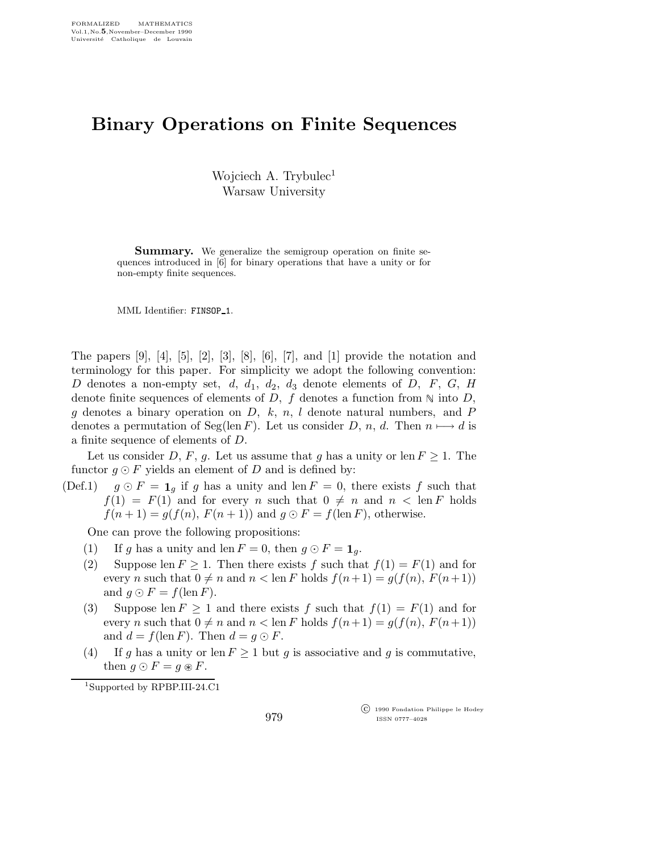## Binary Operations on Finite Sequences

Wojciech A. Trybulec<sup>1</sup> Warsaw University

**Summary.** We generalize the semigroup operation on finite sequences introduced in [6] for binary operations that have a unity or for non-empty finite sequences.

MML Identifier: FINSOP<sub>-1</sub>.

The papers  $[9]$ ,  $[4]$ ,  $[5]$ ,  $[2]$ ,  $[3]$ ,  $[8]$ ,  $[6]$ ,  $[7]$ , and  $[1]$  provide the notation and terminology for this paper. For simplicity we adopt the following convention: D denotes a non-empty set,  $d, d_1, d_2, d_3$  denote elements of D, F, G, H denote finite sequences of elements of D, f denotes a function from  $\mathbb N$  into D, g denotes a binary operation on  $D, k, n, l$  denote natural numbers, and P denotes a permutation of Seg(len F). Let us consider D, n, d. Then  $n \mapsto d$  is a finite sequence of elements of D.

Let us consider D, F, g. Let us assume that g has a unity or len  $F \geq 1$ . The functor  $g \odot F$  yields an element of D and is defined by:

(Def.1)  $g \odot F = \mathbf{1}_q$  if g has a unity and len  $F = 0$ , there exists f such that  $f(1) = F(1)$  and for every n such that  $0 \neq n$  and  $n < \text{len } F$  holds  $f(n+1) = g(f(n), F(n+1))$  and  $g \odot F = f(\text{len } F)$ , otherwise.

One can prove the following propositions:

- (1) If g has a unity and len  $F = 0$ , then  $g \odot F = \mathbf{1}_q$ .
- (2) Suppose len  $F \geq 1$ . Then there exists f such that  $f(1) = F(1)$  and for every n such that  $0 \neq n$  and  $n < \text{len } F$  holds  $f(n+1) = g(f(n), F(n+1))$ and  $g \odot F = f(\text{len } F)$ .
- (3) Suppose len  $F \ge 1$  and there exists f such that  $f(1) = F(1)$  and for every n such that  $0 \neq n$  and  $n < \text{len } F$  holds  $f(n+1) = g(f(n), F(n+1))$ and  $d = f(\text{len } F)$ . Then  $d = q \odot F$ .
- (4) If g has a unity or len  $F \ge 1$  but g is associative and g is commutative, then  $g \odot F = g \circ F$ .

<sup>1</sup>Supported by RPBP.III-24.C1

 c 1990 Fondation Philippe le Hodey ISSN 0777–4028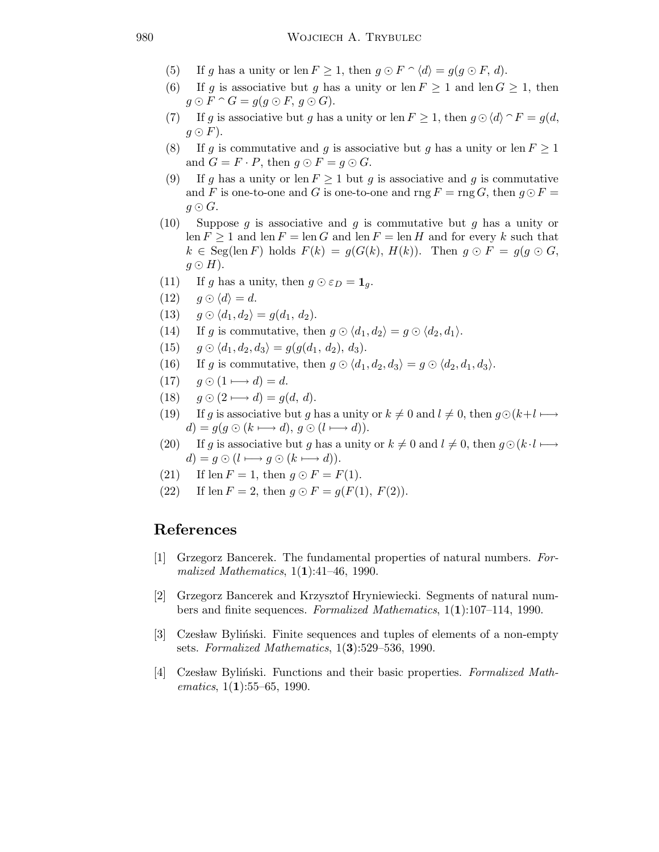- (5) If g has a unity or len  $F \geq 1$ , then  $g \odot F \cap \langle d \rangle = g(g \odot F, d)$ .
- (6) If g is associative but g has a unity or len  $F \ge 1$  and len  $G \ge 1$ , then  $g \odot F \cap G = g(g \odot F, g \odot G).$
- (7) If g is associative but g has a unity or len  $F \geq 1$ , then  $g \odot \langle d \rangle \cap F = g(d, \mathcal{I})$  $g \odot F$ ).
- (8) If g is commutative and g is associative but g has a unity or len  $F \ge 1$ and  $G = F \cdot P$ , then  $g \odot F = g \odot G$ .
- (9) If g has a unity or len  $F > 1$  but g is associative and g is commutative and F is one-to-one and G is one-to-one and rng  $F = \text{rng } G$ , then  $g \odot F =$  $g \odot G$ .
- (10) Suppose g is associative and g is commutative but g has a unity or  $\text{len } F \geq 1$  and  $\text{len } F = \text{len } G$  and  $\text{len } F = \text{len } H$  and for every k such that  $k \in \text{Seg}(\text{len } F)$  holds  $F(k) = g(G(k), H(k))$ . Then  $g \odot F = g(g \odot G,$  $g \odot H$ ).
- (11) If g has a unity, then  $g \odot \varepsilon_D = \mathbf{1}_g$ .
- (12)  $q \odot \langle d \rangle = d$ .
- (13)  $g \odot \langle d_1, d_2 \rangle = g(d_1, d_2).$
- (14) If g is commutative, then  $g \odot \langle d_1, d_2 \rangle = g \odot \langle d_2, d_1 \rangle$ .
- (15)  $g \odot \langle d_1, d_2, d_3 \rangle = g(g(d_1, d_2), d_3).$
- (16) If g is commutative, then  $g \odot \langle d_1, d_2, d_3 \rangle = g \odot \langle d_2, d_1, d_3 \rangle$ .
- $(17)$  g  $\odot$   $(1 \rightarrow d) = d$ .
- (18)  $q \odot (2 \longmapsto d) = q(d, d).$
- (19) If g is associative but g has a unity or  $k \neq 0$  and  $l \neq 0$ , then  $g \odot (k+l \longmapsto$  $d) = g(g \odot (k \longmapsto d), g \odot (l \longmapsto d)).$
- (20) If g is associative but g has a unity or  $k \neq 0$  and  $l \neq 0$ , then  $g \odot (k \cdot l \mapsto$  $d) = g \odot (l \longmapsto g \odot (k \longmapsto d)).$
- (21) If len  $F = 1$ , then  $q \odot F = F(1)$ .
- (22) If len  $F = 2$ , then  $g \odot F = g(F(1), F(2)).$

## References

- [1] Grzegorz Bancerek. The fundamental properties of natural numbers. Formalized Mathematics,  $1(1):41-46$ , 1990.
- [2] Grzegorz Bancerek and Krzysztof Hryniewiecki. Segments of natural numbers and finite sequences. Formalized Mathematics, 1(1):107–114, 1990.
- [3] Czesław Byliński. Finite sequences and tuples of elements of a non-empty sets. Formalized Mathematics,  $1(3):529-536$ , 1990.
- [4] Czesław Byliński. Functions and their basic properties. Formalized Math $ematics, 1(1):55–65, 1990.$